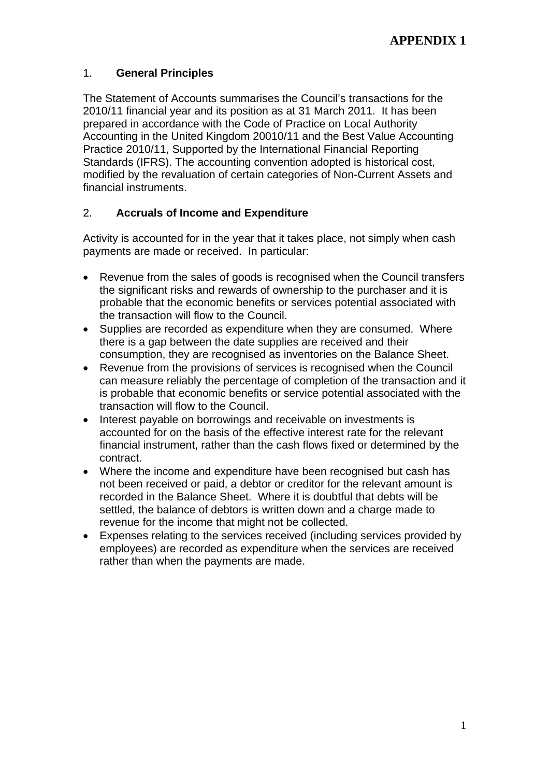# 1. **General Principles**

The Statement of Accounts summarises the Council's transactions for the 2010/11 financial year and its position as at 31 March 2011. It has been prepared in accordance with the Code of Practice on Local Authority Accounting in the United Kingdom 20010/11 and the Best Value Accounting Practice 2010/11, Supported by the International Financial Reporting Standards (IFRS). The accounting convention adopted is historical cost, modified by the revaluation of certain categories of Non-Current Assets and financial instruments.

# 2. **Accruals of Income and Expenditure**

Activity is accounted for in the year that it takes place, not simply when cash payments are made or received. In particular:

- Revenue from the sales of goods is recognised when the Council transfers the significant risks and rewards of ownership to the purchaser and it is probable that the economic benefits or services potential associated with the transaction will flow to the Council.
- Supplies are recorded as expenditure when they are consumed. Where there is a gap between the date supplies are received and their consumption, they are recognised as inventories on the Balance Sheet.
- Revenue from the provisions of services is recognised when the Council can measure reliably the percentage of completion of the transaction and it is probable that economic benefits or service potential associated with the transaction will flow to the Council.
- Interest payable on borrowings and receivable on investments is accounted for on the basis of the effective interest rate for the relevant financial instrument, rather than the cash flows fixed or determined by the contract.
- Where the income and expenditure have been recognised but cash has not been received or paid, a debtor or creditor for the relevant amount is recorded in the Balance Sheet. Where it is doubtful that debts will be settled, the balance of debtors is written down and a charge made to revenue for the income that might not be collected.
- Expenses relating to the services received (including services provided by employees) are recorded as expenditure when the services are received rather than when the payments are made.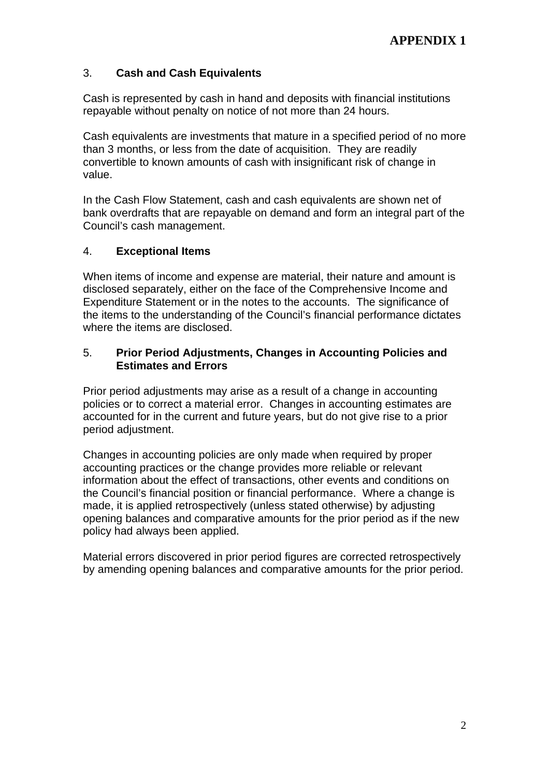# 3. **Cash and Cash Equivalents**

Cash is represented by cash in hand and deposits with financial institutions repayable without penalty on notice of not more than 24 hours.

Cash equivalents are investments that mature in a specified period of no more than 3 months, or less from the date of acquisition. They are readily convertible to known amounts of cash with insignificant risk of change in value.

In the Cash Flow Statement, cash and cash equivalents are shown net of bank overdrafts that are repayable on demand and form an integral part of the Council's cash management.

## 4. **Exceptional Items**

When items of income and expense are material, their nature and amount is disclosed separately, either on the face of the Comprehensive Income and Expenditure Statement or in the notes to the accounts. The significance of the items to the understanding of the Council's financial performance dictates where the items are disclosed.

### 5. **Prior Period Adjustments, Changes in Accounting Policies and Estimates and Errors**

Prior period adjustments may arise as a result of a change in accounting policies or to correct a material error. Changes in accounting estimates are accounted for in the current and future years, but do not give rise to a prior period adjustment.

Changes in accounting policies are only made when required by proper accounting practices or the change provides more reliable or relevant information about the effect of transactions, other events and conditions on the Council's financial position or financial performance. Where a change is made, it is applied retrospectively (unless stated otherwise) by adjusting opening balances and comparative amounts for the prior period as if the new policy had always been applied.

Material errors discovered in prior period figures are corrected retrospectively by amending opening balances and comparative amounts for the prior period.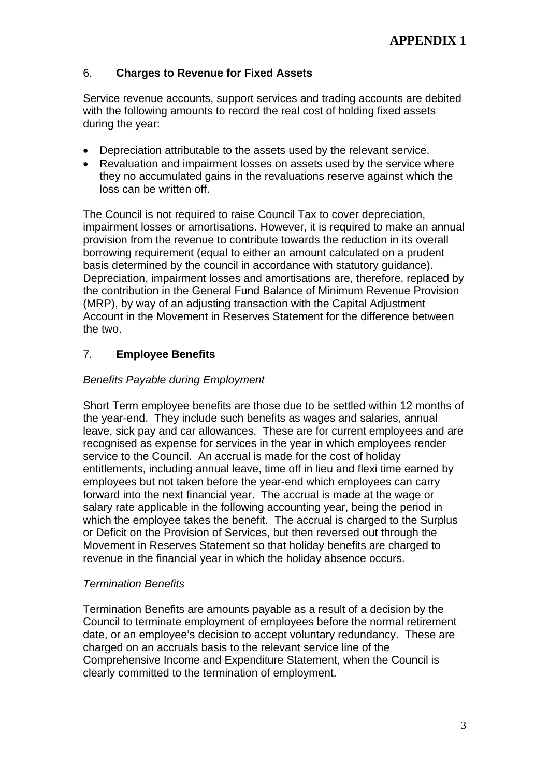# 6. **Charges to Revenue for Fixed Assets**

Service revenue accounts, support services and trading accounts are debited with the following amounts to record the real cost of holding fixed assets during the year:

- Depreciation attributable to the assets used by the relevant service.
- Revaluation and impairment losses on assets used by the service where they no accumulated gains in the revaluations reserve against which the loss can be written off.

The Council is not required to raise Council Tax to cover depreciation, impairment losses or amortisations. However, it is required to make an annual provision from the revenue to contribute towards the reduction in its overall borrowing requirement (equal to either an amount calculated on a prudent basis determined by the council in accordance with statutory guidance). Depreciation, impairment losses and amortisations are, therefore, replaced by the contribution in the General Fund Balance of Minimum Revenue Provision (MRP), by way of an adjusting transaction with the Capital Adjustment Account in the Movement in Reserves Statement for the difference between the two.

# 7. **Employee Benefits**

## *Benefits Payable during Employment*

Short Term employee benefits are those due to be settled within 12 months of the year-end. They include such benefits as wages and salaries, annual leave, sick pay and car allowances. These are for current employees and are recognised as expense for services in the year in which employees render service to the Council. An accrual is made for the cost of holiday entitlements, including annual leave, time off in lieu and flexi time earned by employees but not taken before the year-end which employees can carry forward into the next financial year. The accrual is made at the wage or salary rate applicable in the following accounting year, being the period in which the employee takes the benefit. The accrual is charged to the Surplus or Deficit on the Provision of Services, but then reversed out through the Movement in Reserves Statement so that holiday benefits are charged to revenue in the financial year in which the holiday absence occurs.

#### *Termination Benefits*

Termination Benefits are amounts payable as a result of a decision by the Council to terminate employment of employees before the normal retirement date, or an employee's decision to accept voluntary redundancy. These are charged on an accruals basis to the relevant service line of the Comprehensive Income and Expenditure Statement, when the Council is clearly committed to the termination of employment.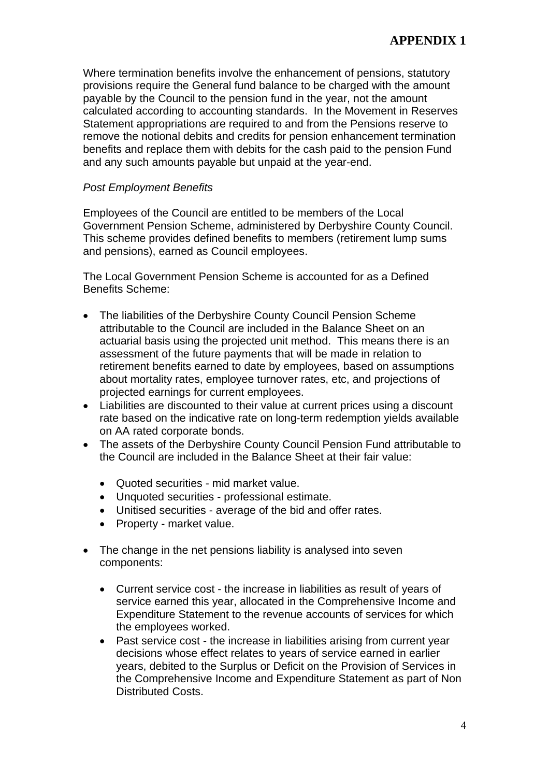Where termination benefits involve the enhancement of pensions, statutory provisions require the General fund balance to be charged with the amount payable by the Council to the pension fund in the year, not the amount calculated according to accounting standards. In the Movement in Reserves Statement appropriations are required to and from the Pensions reserve to remove the notional debits and credits for pension enhancement termination benefits and replace them with debits for the cash paid to the pension Fund and any such amounts payable but unpaid at the year-end.

## *Post Employment Benefits*

Employees of the Council are entitled to be members of the Local Government Pension Scheme, administered by Derbyshire County Council. This scheme provides defined benefits to members (retirement lump sums and pensions), earned as Council employees.

The Local Government Pension Scheme is accounted for as a Defined Benefits Scheme:

- The liabilities of the Derbyshire County Council Pension Scheme attributable to the Council are included in the Balance Sheet on an actuarial basis using the projected unit method. This means there is an assessment of the future payments that will be made in relation to retirement benefits earned to date by employees, based on assumptions about mortality rates, employee turnover rates, etc, and projections of projected earnings for current employees.
- Liabilities are discounted to their value at current prices using a discount rate based on the indicative rate on long-term redemption yields available on AA rated corporate bonds.
- The assets of the Derbyshire County Council Pension Fund attributable to the Council are included in the Balance Sheet at their fair value:
	- Quoted securities mid market value.
	- Unquoted securities professional estimate.
	- Unitised securities average of the bid and offer rates.
	- Property market value.
- The change in the net pensions liability is analysed into seven components:
	- Current service cost the increase in liabilities as result of years of service earned this year, allocated in the Comprehensive Income and Expenditure Statement to the revenue accounts of services for which the employees worked.
	- Past service cost the increase in liabilities arising from current year decisions whose effect relates to years of service earned in earlier years, debited to the Surplus or Deficit on the Provision of Services in the Comprehensive Income and Expenditure Statement as part of Non Distributed Costs.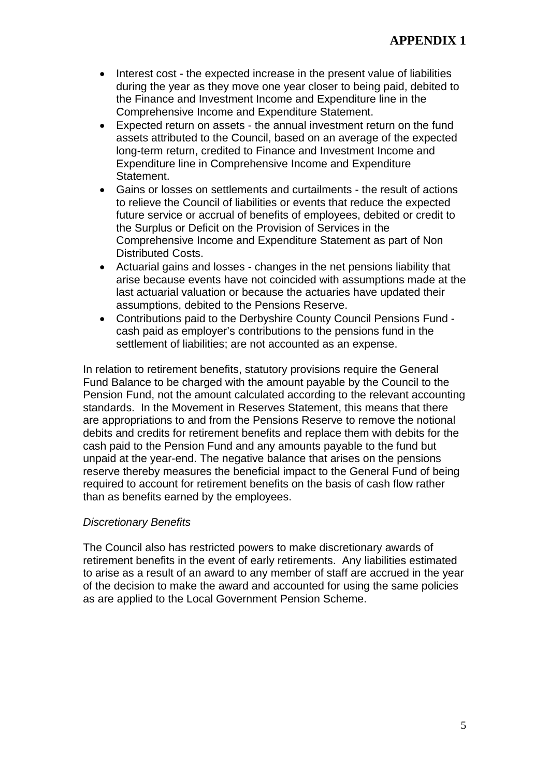- Interest cost the expected increase in the present value of liabilities during the year as they move one year closer to being paid, debited to the Finance and Investment Income and Expenditure line in the Comprehensive Income and Expenditure Statement.
- Expected return on assets the annual investment return on the fund assets attributed to the Council, based on an average of the expected long-term return, credited to Finance and Investment Income and Expenditure line in Comprehensive Income and Expenditure Statement.
- Gains or losses on settlements and curtailments the result of actions to relieve the Council of liabilities or events that reduce the expected future service or accrual of benefits of employees, debited or credit to the Surplus or Deficit on the Provision of Services in the Comprehensive Income and Expenditure Statement as part of Non Distributed Costs.
- Actuarial gains and losses changes in the net pensions liability that arise because events have not coincided with assumptions made at the last actuarial valuation or because the actuaries have updated their assumptions, debited to the Pensions Reserve.
- Contributions paid to the Derbyshire County Council Pensions Fund cash paid as employer's contributions to the pensions fund in the settlement of liabilities; are not accounted as an expense.

In relation to retirement benefits, statutory provisions require the General Fund Balance to be charged with the amount payable by the Council to the Pension Fund, not the amount calculated according to the relevant accounting standards. In the Movement in Reserves Statement, this means that there are appropriations to and from the Pensions Reserve to remove the notional debits and credits for retirement benefits and replace them with debits for the cash paid to the Pension Fund and any amounts payable to the fund but unpaid at the year-end. The negative balance that arises on the pensions reserve thereby measures the beneficial impact to the General Fund of being required to account for retirement benefits on the basis of cash flow rather than as benefits earned by the employees.

#### *Discretionary Benefits*

The Council also has restricted powers to make discretionary awards of retirement benefits in the event of early retirements. Any liabilities estimated to arise as a result of an award to any member of staff are accrued in the year of the decision to make the award and accounted for using the same policies as are applied to the Local Government Pension Scheme.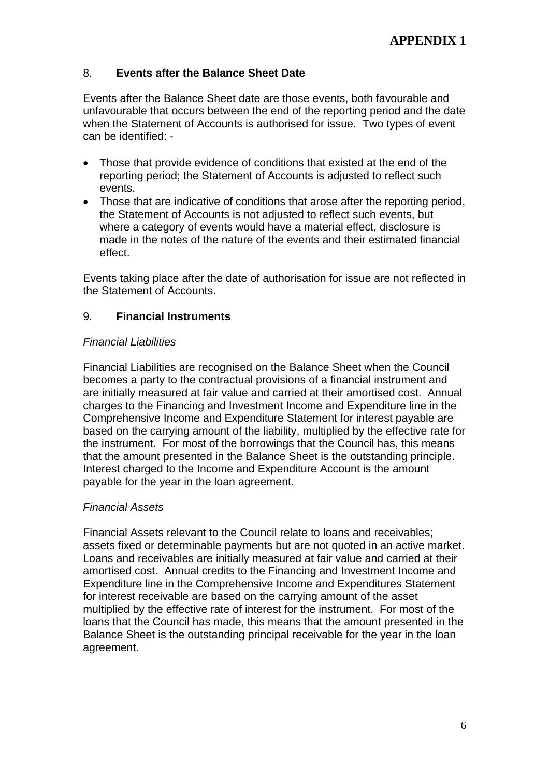# 8. **Events after the Balance Sheet Date**

Events after the Balance Sheet date are those events, both favourable and unfavourable that occurs between the end of the reporting period and the date when the Statement of Accounts is authorised for issue. Two types of event can be identified: -

- Those that provide evidence of conditions that existed at the end of the reporting period; the Statement of Accounts is adjusted to reflect such events.
- Those that are indicative of conditions that arose after the reporting period, the Statement of Accounts is not adjusted to reflect such events, but where a category of events would have a material effect, disclosure is made in the notes of the nature of the events and their estimated financial effect.

Events taking place after the date of authorisation for issue are not reflected in the Statement of Accounts.

# 9. **Financial Instruments**

## *Financial Liabilities*

Financial Liabilities are recognised on the Balance Sheet when the Council becomes a party to the contractual provisions of a financial instrument and are initially measured at fair value and carried at their amortised cost. Annual charges to the Financing and Investment Income and Expenditure line in the Comprehensive Income and Expenditure Statement for interest payable are based on the carrying amount of the liability, multiplied by the effective rate for the instrument. For most of the borrowings that the Council has, this means that the amount presented in the Balance Sheet is the outstanding principle. Interest charged to the Income and Expenditure Account is the amount payable for the year in the loan agreement.

# *Financial Assets*

Financial Assets relevant to the Council relate to loans and receivables; assets fixed or determinable payments but are not quoted in an active market. Loans and receivables are initially measured at fair value and carried at their amortised cost. Annual credits to the Financing and Investment Income and Expenditure line in the Comprehensive Income and Expenditures Statement for interest receivable are based on the carrying amount of the asset multiplied by the effective rate of interest for the instrument. For most of the loans that the Council has made, this means that the amount presented in the Balance Sheet is the outstanding principal receivable for the year in the loan agreement.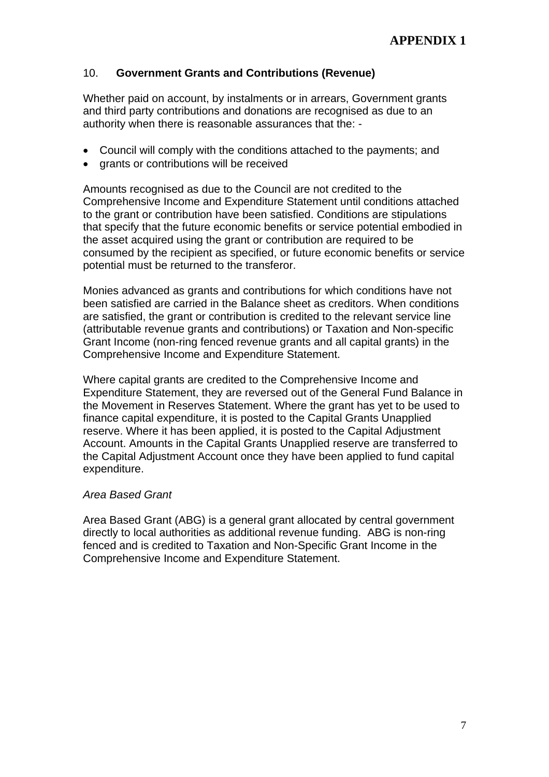# 10. **Government Grants and Contributions (Revenue)**

Whether paid on account, by instalments or in arrears, Government grants and third party contributions and donations are recognised as due to an authority when there is reasonable assurances that the: -

- Council will comply with the conditions attached to the payments; and
- grants or contributions will be received

Amounts recognised as due to the Council are not credited to the Comprehensive Income and Expenditure Statement until conditions attached to the grant or contribution have been satisfied. Conditions are stipulations that specify that the future economic benefits or service potential embodied in the asset acquired using the grant or contribution are required to be consumed by the recipient as specified, or future economic benefits or service potential must be returned to the transferor.

Monies advanced as grants and contributions for which conditions have not been satisfied are carried in the Balance sheet as creditors. When conditions are satisfied, the grant or contribution is credited to the relevant service line (attributable revenue grants and contributions) or Taxation and Non-specific Grant Income (non-ring fenced revenue grants and all capital grants) in the Comprehensive Income and Expenditure Statement.

Where capital grants are credited to the Comprehensive Income and Expenditure Statement, they are reversed out of the General Fund Balance in the Movement in Reserves Statement. Where the grant has yet to be used to finance capital expenditure, it is posted to the Capital Grants Unapplied reserve. Where it has been applied, it is posted to the Capital Adjustment Account. Amounts in the Capital Grants Unapplied reserve are transferred to the Capital Adjustment Account once they have been applied to fund capital expenditure.

#### *Area Based Grant*

Area Based Grant (ABG) is a general grant allocated by central government directly to local authorities as additional revenue funding. ABG is non-ring fenced and is credited to Taxation and Non-Specific Grant Income in the Comprehensive Income and Expenditure Statement.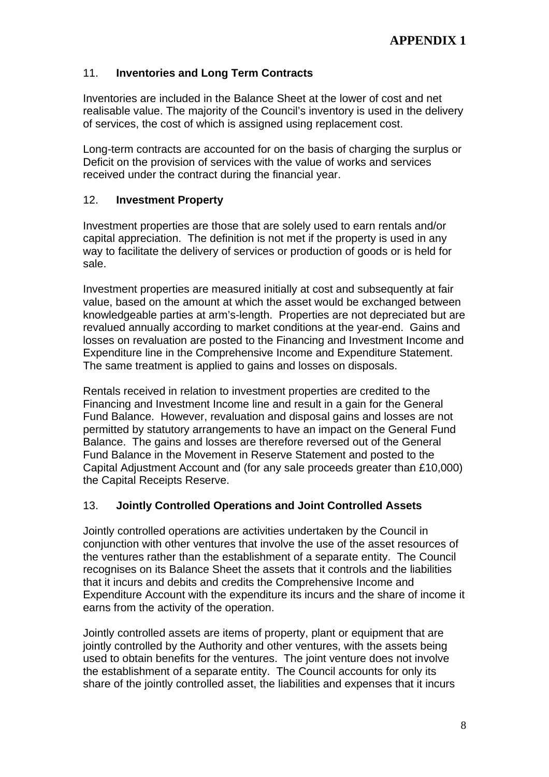# 11. **Inventories and Long Term Contracts**

Inventories are included in the Balance Sheet at the lower of cost and net realisable value. The majority of the Council's inventory is used in the delivery of services, the cost of which is assigned using replacement cost.

Long-term contracts are accounted for on the basis of charging the surplus or Deficit on the provision of services with the value of works and services received under the contract during the financial year.

# 12. **Investment Property**

Investment properties are those that are solely used to earn rentals and/or capital appreciation. The definition is not met if the property is used in any way to facilitate the delivery of services or production of goods or is held for sale.

Investment properties are measured initially at cost and subsequently at fair value, based on the amount at which the asset would be exchanged between knowledgeable parties at arm's-length. Properties are not depreciated but are revalued annually according to market conditions at the year-end. Gains and losses on revaluation are posted to the Financing and Investment Income and Expenditure line in the Comprehensive Income and Expenditure Statement. The same treatment is applied to gains and losses on disposals.

Rentals received in relation to investment properties are credited to the Financing and Investment Income line and result in a gain for the General Fund Balance. However, revaluation and disposal gains and losses are not permitted by statutory arrangements to have an impact on the General Fund Balance. The gains and losses are therefore reversed out of the General Fund Balance in the Movement in Reserve Statement and posted to the Capital Adjustment Account and (for any sale proceeds greater than £10,000) the Capital Receipts Reserve.

# 13. **Jointly Controlled Operations and Joint Controlled Assets**

Jointly controlled operations are activities undertaken by the Council in conjunction with other ventures that involve the use of the asset resources of the ventures rather than the establishment of a separate entity. The Council recognises on its Balance Sheet the assets that it controls and the liabilities that it incurs and debits and credits the Comprehensive Income and Expenditure Account with the expenditure its incurs and the share of income it earns from the activity of the operation.

Jointly controlled assets are items of property, plant or equipment that are jointly controlled by the Authority and other ventures, with the assets being used to obtain benefits for the ventures. The joint venture does not involve the establishment of a separate entity. The Council accounts for only its share of the jointly controlled asset, the liabilities and expenses that it incurs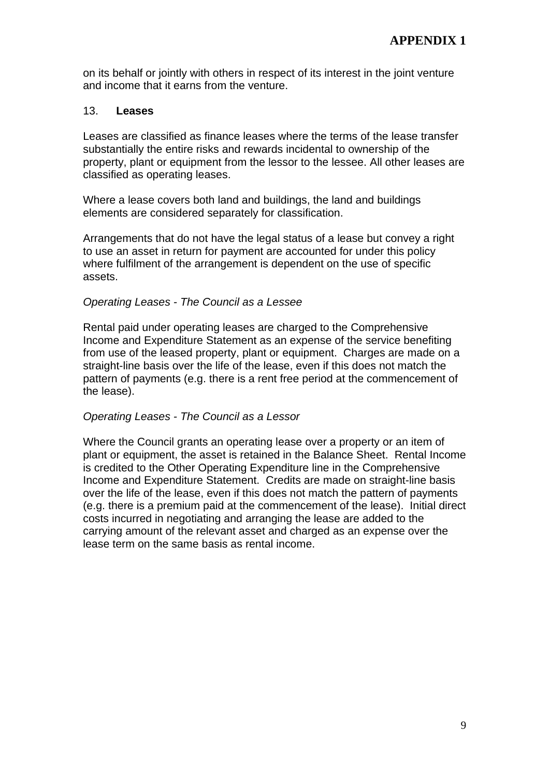on its behalf or jointly with others in respect of its interest in the joint venture and income that it earns from the venture.

#### 13. **Leases**

Leases are classified as finance leases where the terms of the lease transfer substantially the entire risks and rewards incidental to ownership of the property, plant or equipment from the lessor to the lessee. All other leases are classified as operating leases.

Where a lease covers both land and buildings, the land and buildings elements are considered separately for classification.

Arrangements that do not have the legal status of a lease but convey a right to use an asset in return for payment are accounted for under this policy where fulfilment of the arrangement is dependent on the use of specific assets.

#### *Operating Leases - The Council as a Lessee*

Rental paid under operating leases are charged to the Comprehensive Income and Expenditure Statement as an expense of the service benefiting from use of the leased property, plant or equipment. Charges are made on a straight-line basis over the life of the lease, even if this does not match the pattern of payments (e.g. there is a rent free period at the commencement of the lease).

#### *Operating Leases - The Council as a Lessor*

Where the Council grants an operating lease over a property or an item of plant or equipment, the asset is retained in the Balance Sheet. Rental Income is credited to the Other Operating Expenditure line in the Comprehensive Income and Expenditure Statement. Credits are made on straight-line basis over the life of the lease, even if this does not match the pattern of payments (e.g. there is a premium paid at the commencement of the lease). Initial direct costs incurred in negotiating and arranging the lease are added to the carrying amount of the relevant asset and charged as an expense over the lease term on the same basis as rental income.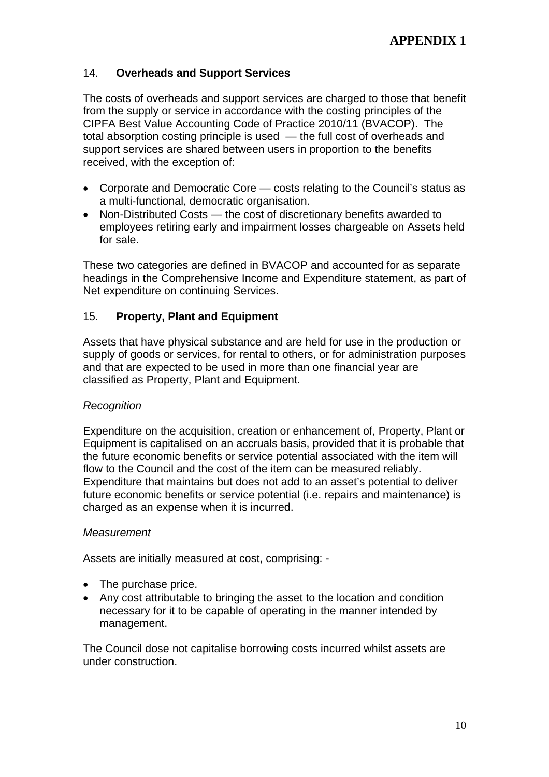# 14. **Overheads and Support Services**

The costs of overheads and support services are charged to those that benefit from the supply or service in accordance with the costing principles of the CIPFA Best Value Accounting Code of Practice 2010/11 (BVACOP). The total absorption costing principle is used — the full cost of overheads and support services are shared between users in proportion to the benefits received, with the exception of:

- Corporate and Democratic Core costs relating to the Council's status as a multi-functional, democratic organisation.
- Non-Distributed Costs the cost of discretionary benefits awarded to employees retiring early and impairment losses chargeable on Assets held for sale.

These two categories are defined in BVACOP and accounted for as separate headings in the Comprehensive Income and Expenditure statement, as part of Net expenditure on continuing Services.

# 15. **Property, Plant and Equipment**

Assets that have physical substance and are held for use in the production or supply of goods or services, for rental to others, or for administration purposes and that are expected to be used in more than one financial year are classified as Property, Plant and Equipment.

#### *Recognition*

Expenditure on the acquisition, creation or enhancement of, Property, Plant or Equipment is capitalised on an accruals basis, provided that it is probable that the future economic benefits or service potential associated with the item will flow to the Council and the cost of the item can be measured reliably. Expenditure that maintains but does not add to an asset's potential to deliver future economic benefits or service potential (i.e. repairs and maintenance) is charged as an expense when it is incurred.

#### *Measurement*

Assets are initially measured at cost, comprising: -

- The purchase price.
- Any cost attributable to bringing the asset to the location and condition necessary for it to be capable of operating in the manner intended by management.

The Council dose not capitalise borrowing costs incurred whilst assets are under construction.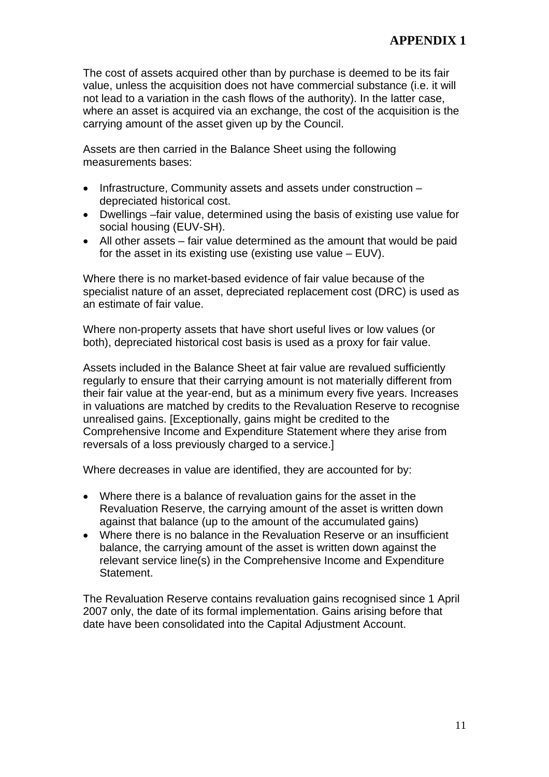The cost of assets acquired other than by purchase is deemed to be its fair value, unless the acquisition does not have commercial substance (i.e. it will not lead to a variation in the cash flows of the authority). In the latter case, where an asset is acquired via an exchange, the cost of the acquisition is the carrying amount of the asset given up by the Council.

Assets are then carried in the Balance Sheet using the following measurements bases:

- Infrastructure, Community assets and assets under construction depreciated historical cost.
- Dwellings –fair value, determined using the basis of existing use value for social housing (EUV-SH).
- All other assets fair value determined as the amount that would be paid for the asset in its existing use (existing use value – EUV).

Where there is no market-based evidence of fair value because of the specialist nature of an asset, depreciated replacement cost (DRC) is used as an estimate of fair value.

Where non-property assets that have short useful lives or low values (or both), depreciated historical cost basis is used as a proxy for fair value.

Assets included in the Balance Sheet at fair value are revalued sufficiently regularly to ensure that their carrying amount is not materially different from their fair value at the year-end, but as a minimum every five years. Increases in valuations are matched by credits to the Revaluation Reserve to recognise unrealised gains. [Exceptionally, gains might be credited to the Comprehensive Income and Expenditure Statement where they arise from reversals of a loss previously charged to a service.]

Where decreases in value are identified, they are accounted for by:

- Where there is a balance of revaluation gains for the asset in the Revaluation Reserve, the carrying amount of the asset is written down against that balance (up to the amount of the accumulated gains)
- Where there is no balance in the Revaluation Reserve or an insufficient balance, the carrying amount of the asset is written down against the relevant service line(s) in the Comprehensive Income and Expenditure Statement.

The Revaluation Reserve contains revaluation gains recognised since 1 April 2007 only, the date of its formal implementation. Gains arising before that date have been consolidated into the Capital Adjustment Account.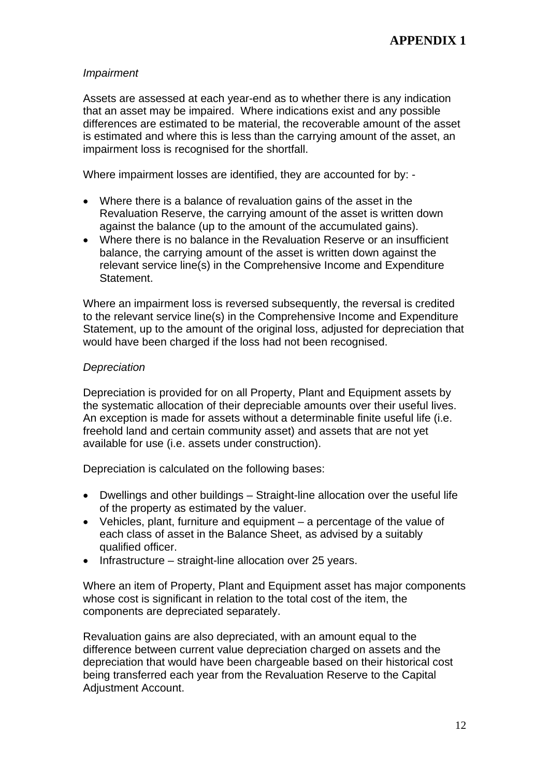## *Impairment*

Assets are assessed at each year-end as to whether there is any indication that an asset may be impaired. Where indications exist and any possible differences are estimated to be material, the recoverable amount of the asset is estimated and where this is less than the carrying amount of the asset, an impairment loss is recognised for the shortfall.

Where impairment losses are identified, they are accounted for by: -

- Where there is a balance of revaluation gains of the asset in the Revaluation Reserve, the carrying amount of the asset is written down against the balance (up to the amount of the accumulated gains).
- Where there is no balance in the Revaluation Reserve or an insufficient balance, the carrying amount of the asset is written down against the relevant service line(s) in the Comprehensive Income and Expenditure Statement.

Where an impairment loss is reversed subsequently, the reversal is credited to the relevant service line(s) in the Comprehensive Income and Expenditure Statement, up to the amount of the original loss, adjusted for depreciation that would have been charged if the loss had not been recognised.

## *Depreciation*

Depreciation is provided for on all Property, Plant and Equipment assets by the systematic allocation of their depreciable amounts over their useful lives. An exception is made for assets without a determinable finite useful life (i.e. freehold land and certain community asset) and assets that are not yet available for use (i.e. assets under construction).

Depreciation is calculated on the following bases:

- Dwellings and other buildings Straight-line allocation over the useful life of the property as estimated by the valuer.
- Vehicles, plant, furniture and equipment a percentage of the value of each class of asset in the Balance Sheet, as advised by a suitably qualified officer.
- Infrastructure straight-line allocation over 25 years.

Where an item of Property, Plant and Equipment asset has major components whose cost is significant in relation to the total cost of the item, the components are depreciated separately.

Revaluation gains are also depreciated, with an amount equal to the difference between current value depreciation charged on assets and the depreciation that would have been chargeable based on their historical cost being transferred each year from the Revaluation Reserve to the Capital Adjustment Account.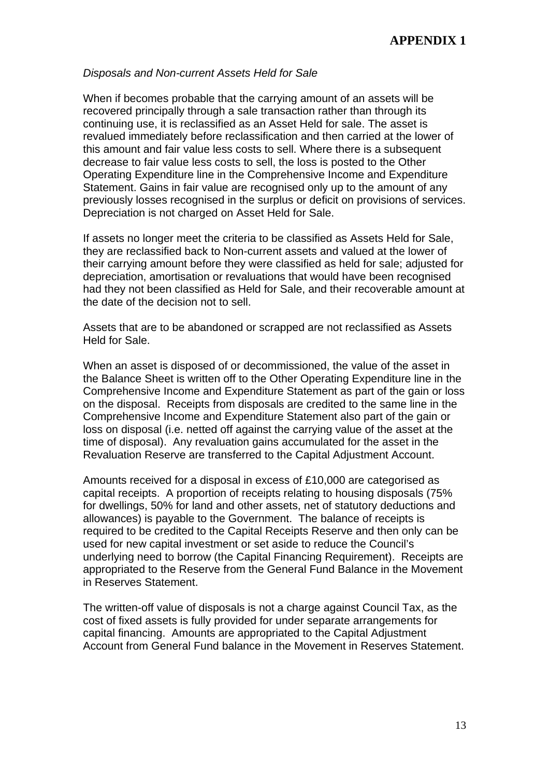#### *Disposals and Non-current Assets Held for Sale*

When if becomes probable that the carrying amount of an assets will be recovered principally through a sale transaction rather than through its continuing use, it is reclassified as an Asset Held for sale. The asset is revalued immediately before reclassification and then carried at the lower of this amount and fair value less costs to sell. Where there is a subsequent decrease to fair value less costs to sell, the loss is posted to the Other Operating Expenditure line in the Comprehensive Income and Expenditure Statement. Gains in fair value are recognised only up to the amount of any previously losses recognised in the surplus or deficit on provisions of services. Depreciation is not charged on Asset Held for Sale.

If assets no longer meet the criteria to be classified as Assets Held for Sale, they are reclassified back to Non-current assets and valued at the lower of their carrying amount before they were classified as held for sale; adjusted for depreciation, amortisation or revaluations that would have been recognised had they not been classified as Held for Sale, and their recoverable amount at the date of the decision not to sell.

Assets that are to be abandoned or scrapped are not reclassified as Assets Held for Sale.

When an asset is disposed of or decommissioned, the value of the asset in the Balance Sheet is written off to the Other Operating Expenditure line in the Comprehensive Income and Expenditure Statement as part of the gain or loss on the disposal. Receipts from disposals are credited to the same line in the Comprehensive Income and Expenditure Statement also part of the gain or loss on disposal (i.e. netted off against the carrying value of the asset at the time of disposal). Any revaluation gains accumulated for the asset in the Revaluation Reserve are transferred to the Capital Adjustment Account.

Amounts received for a disposal in excess of £10,000 are categorised as capital receipts. A proportion of receipts relating to housing disposals (75% for dwellings, 50% for land and other assets, net of statutory deductions and allowances) is payable to the Government. The balance of receipts is required to be credited to the Capital Receipts Reserve and then only can be used for new capital investment or set aside to reduce the Council's underlying need to borrow (the Capital Financing Requirement). Receipts are appropriated to the Reserve from the General Fund Balance in the Movement in Reserves Statement.

The written-off value of disposals is not a charge against Council Tax, as the cost of fixed assets is fully provided for under separate arrangements for capital financing. Amounts are appropriated to the Capital Adjustment Account from General Fund balance in the Movement in Reserves Statement.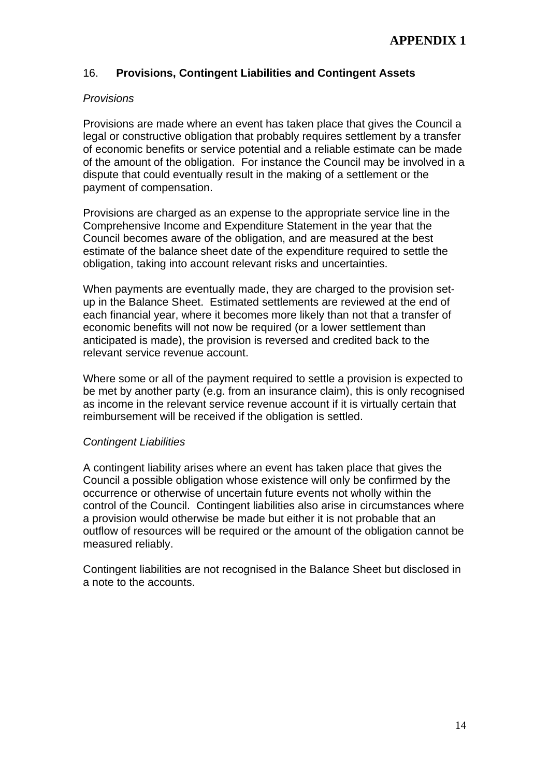# 16. **Provisions, Contingent Liabilities and Contingent Assets**

### *Provisions*

Provisions are made where an event has taken place that gives the Council a legal or constructive obligation that probably requires settlement by a transfer of economic benefits or service potential and a reliable estimate can be made of the amount of the obligation. For instance the Council may be involved in a dispute that could eventually result in the making of a settlement or the payment of compensation.

Provisions are charged as an expense to the appropriate service line in the Comprehensive Income and Expenditure Statement in the year that the Council becomes aware of the obligation, and are measured at the best estimate of the balance sheet date of the expenditure required to settle the obligation, taking into account relevant risks and uncertainties.

When payments are eventually made, they are charged to the provision setup in the Balance Sheet. Estimated settlements are reviewed at the end of each financial year, where it becomes more likely than not that a transfer of economic benefits will not now be required (or a lower settlement than anticipated is made), the provision is reversed and credited back to the relevant service revenue account.

Where some or all of the payment required to settle a provision is expected to be met by another party (e.g. from an insurance claim), this is only recognised as income in the relevant service revenue account if it is virtually certain that reimbursement will be received if the obligation is settled.

#### *Contingent Liabilities*

A contingent liability arises where an event has taken place that gives the Council a possible obligation whose existence will only be confirmed by the occurrence or otherwise of uncertain future events not wholly within the control of the Council. Contingent liabilities also arise in circumstances where a provision would otherwise be made but either it is not probable that an outflow of resources will be required or the amount of the obligation cannot be measured reliably.

Contingent liabilities are not recognised in the Balance Sheet but disclosed in a note to the accounts.